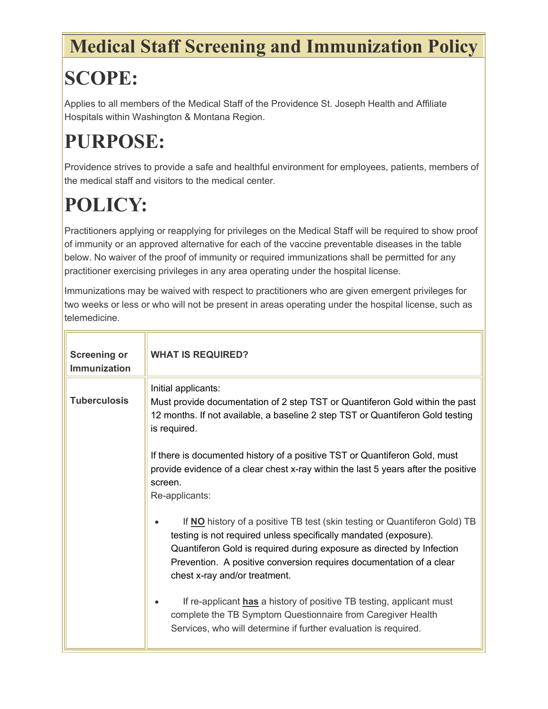## **Medical Staff Screening and Immunization Policy**

## **SCOPE:**

Applies to all members of the Medical Staff of the Providence St. Joseph Health and Affiliate Hospitals within Washington & Montana Region.

## **PURPOSE:**

Providence strives to provide a safe and healthful environment for employees, patients, members of the medical staff and visitors to the medical center.

## **POLICY:**

Practitioners applying or reapplying for privileges on the Medical Staff will be required to show proof of immunity or an approved alternative for each of the vaccine preventable diseases in the table below. No waiver of the proof of immunity or required immunizations shall be permitted for any practitioner exercising privileges in any area operating under the hospital license.

Immunizations may be waived with respect to practitioners who are given emergent privileges for two weeks or less or who will not be present in areas operating under the hospital license, such as telemedicine.

| <b>Screening or</b><br>Immunization | <b>WHAT IS REQUIRED?</b>                                                                                                                                                                                                                                                                                                       |
|-------------------------------------|--------------------------------------------------------------------------------------------------------------------------------------------------------------------------------------------------------------------------------------------------------------------------------------------------------------------------------|
| <b>Tuberculosis</b>                 | Initial applicants:<br>Must provide documentation of 2 step TST or Quantiferon Gold within the past<br>12 months. If not available, a baseline 2 step TST or Quantiferon Gold testing<br>is required.                                                                                                                          |
|                                     | If there is documented history of a positive TST or Quantiferon Gold, must<br>provide evidence of a clear chest x-ray within the last 5 years after the positive<br>screen.<br>Re-applicants:                                                                                                                                  |
|                                     | If NO history of a positive TB test (skin testing or Quantiferon Gold) TB<br>testing is not required unless specifically mandated (exposure).<br>Quantiferon Gold is required during exposure as directed by Infection<br>Prevention. A positive conversion requires documentation of a clear<br>chest x-ray and/or treatment. |
|                                     | If re-applicant has a history of positive TB testing, applicant must<br>complete the TB Symptom Questionnaire from Caregiver Health<br>Services, who will determine if further evaluation is required.                                                                                                                         |